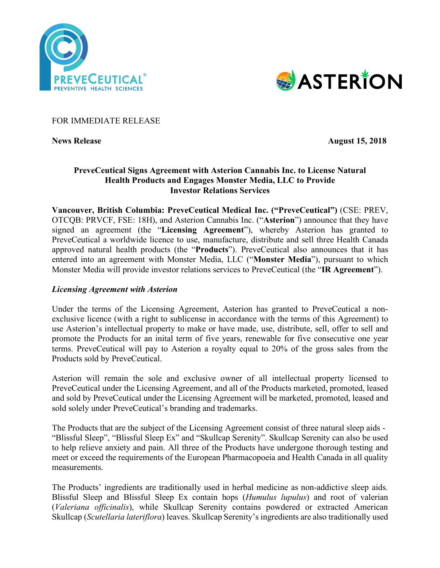



### FOR IMMEDIATE RELEASE

**News Release** August 15, 2018

# **PreveCeutical Signs Agreement with Asterion Cannabis Inc. to License Natural Health Products and Engages Monster Media, LLC to Provide Investor Relations Services**

**Vancouver, British Columbia: PreveCeutical Medical Inc. ("PreveCeutical")** (CSE: PREV, OTCQB: PRVCF, FSE: 18H), and Asterion Cannabis Inc. ("**Asterion**") announce that they have signed an agreement (the "**Licensing Agreement**"), whereby Asterion has granted to PreveCeutical a worldwide licence to use, manufacture, distribute and sell three Health Canada approved natural health products (the "**Products**"). PreveCeutical also announces that it has entered into an agreement with Monster Media, LLC ("**Monster Media**"), pursuant to which Monster Media will provide investor relations services to PreveCeutical (the "**IR Agreement**").

# *Licensing Agreement with Asterion*

Under the terms of the Licensing Agreement, Asterion has granted to PreveCeutical a nonexclusive licence (with a right to sublicense in accordance with the terms of this Agreement) to use Asterion's intellectual property to make or have made, use, distribute, sell, offer to sell and promote the Products for an inital term of five years, renewable for five consecutive one year terms. PreveCeutical will pay to Asterion a royalty equal to 20% of the gross sales from the Products sold by PreveCeutical.

Asterion will remain the sole and exclusive owner of all intellectual property licensed to PreveCeutical under the Licensing Agreement, and all of the Products marketed, promoted, leased and sold by PreveCeutical under the Licensing Agreement will be marketed, promoted, leased and sold solely under PreveCeutical's branding and trademarks.

The Products that are the subject of the Licensing Agreement consist of three natural sleep aids - "Blissful Sleep", "Blissful Sleep Ex" and "Skullcap Serenity". Skullcap Serenity can also be used to help relieve anxiety and pain. All three of the Products have undergone thorough testing and meet or exceed the requirements of the European Pharmacopoeia and Health Canada in all quality measurements.

The Products' ingredients are traditionally used in herbal medicine as non-addictive sleep aids. Blissful Sleep and Blissful Sleep Ex contain hops (*Humulus lupulus*) and root of valerian (*Valeriana officinalis*), while Skullcap Serenity contains powdered or extracted American Skullcap (*Scutellaria lateriflora*) leaves. Skullcap Serenity's ingredients are also traditionally used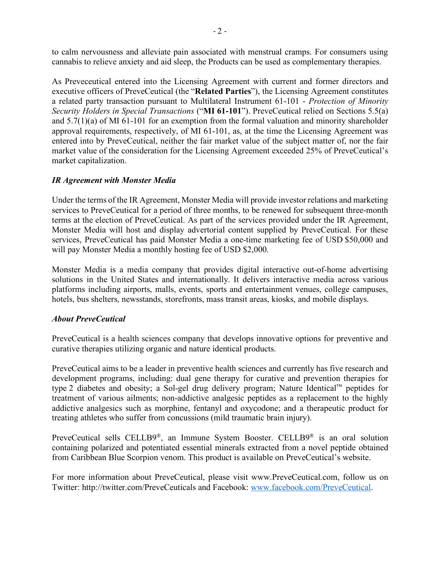to calm nervousness and alleviate pain associated with menstrual cramps. For consumers using cannabis to relieve anxiety and aid sleep, the Products can be used as complementary therapies.

As Preveceutical entered into the Licensing Agreement with current and former directors and executive officers of PreveCeutical (the "**Related Parties**"), the Licensing Agreement constitutes a related party transaction pursuant to Multilateral Instrument 61-101 - *Protection of Minority Security Holders in Special Transactions* ("**MI 61-101**"). PreveCeutical relied on Sections 5.5(a) and 5.7(1)(a) of MI 61-101 for an exemption from the formal valuation and minority shareholder approval requirements, respectively, of MI 61-101, as, at the time the Licensing Agreement was entered into by PreveCeutical, neither the fair market value of the subject matter of, nor the fair market value of the consideration for the Licensing Agreement exceeded 25% of PreveCeutical's market capitalization.

# *IR Agreement with Monster Media*

Under the terms of the IR Agreement, Monster Media will provide investor relations and marketing services to PreveCeutical for a period of three months, to be renewed for subsequent three-month terms at the election of PreveCeutical. As part of the services provided under the IR Agreement, Monster Media will host and display advertorial content supplied by PreveCeutical. For these services, PreveCeutical has paid Monster Media a one-time marketing fee of USD \$50,000 and will pay Monster Media a monthly hosting fee of USD \$2,000.

Monster Media is a media company that provides digital interactive out-of-home advertising solutions in the United States and internationally. It delivers interactive media across various platforms including airports, malls, events, sports and entertainment venues, college campuses, hotels, bus shelters, newsstands, storefronts, mass transit areas, kiosks, and mobile displays.

### *About PreveCeutical*

PreveCeutical is a health sciences company that develops innovative options for preventive and curative therapies utilizing organic and nature identical products.

PreveCeutical aims to be a leader in preventive health sciences and currently has five research and development programs, including: dual gene therapy for curative and prevention therapies for type 2 diabetes and obesity; a Sol-gel drug delivery program; Nature Identical™ peptides for treatment of various ailments; non-addictive analgesic peptides as a replacement to the highly addictive analgesics such as morphine, fentanyl and oxycodone; and a therapeutic product for treating athletes who suffer from concussions (mild traumatic brain injury).

PreveCeutical sells CELLB9®, an Immune System Booster. CELLB9® is an oral solution containing polarized and potentiated essential minerals extracted from a novel peptide obtained from Caribbean Blue Scorpion venom. This product is available on PreveCeutical's website.

For more information about PreveCeutical, please visit www.PreveCeutical.com, follow us on Twitter: http://twitter.com/PreveCeuticals and Facebook: www.facebook.com/PreveCeutical.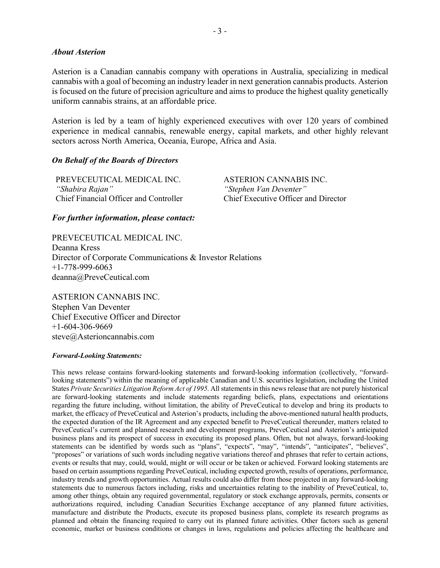#### *About Asterion*

Asterion is a Canadian cannabis company with operations in Australia, specializing in medical cannabis with a goal of becoming an industry leader in next generation cannabis products. Asterion is focused on the future of precision agriculture and aims to produce the highest quality genetically uniform cannabis strains, at an affordable price.

Asterion is led by a team of highly experienced executives with over 120 years of combined experience in medical cannabis, renewable energy, capital markets, and other highly relevant sectors across North America, Oceania, Europe, Africa and Asia.

### *On Behalf of the Boards of Directors*

PREVECEUTICAL MEDICAL INC. ASTERION CANNABIS INC. *"Shabira Rajan" "Stephen Van Deventer"* Chief Financial Officer and Controller Chief Executive Officer and Director

### *For further information, please contact:*

PREVECEUTICAL MEDICAL INC. Deanna Kress Director of Corporate Communications & Investor Relations +1-778-999-6063 deanna@PreveCeutical.com

ASTERION CANNABIS INC. Stephen Van Deventer Chief Executive Officer and Director  $+1-604-306-9669$ steve@Asterioncannabis.com

#### *Forward-Looking Statements:*

This news release contains forward-looking statements and forward-looking information (collectively, "forwardlooking statements") within the meaning of applicable Canadian and U.S. securities legislation, including the United States *Private Securities Litigation Reform Act of 1995*. All statements in this news release that are not purely historical are forward-looking statements and include statements regarding beliefs, plans, expectations and orientations regarding the future including, without limitation, the ability of PreveCeutical to develop and bring its products to market, the efficacy of PreveCeutical and Asterion's products, including the above-mentioned natural health products, the expected duration of the IR Agreement and any expected benefit to PreveCeutical thereunder, matters related to PreveCeutical's current and planned research and development programs, PreveCeutical and Asterion's anticipated business plans and its prospect of success in executing its proposed plans. Often, but not always, forward-looking statements can be identified by words such as "plans", "expects", "may", "intends", "anticipates", "believes", "proposes" or variations of such words including negative variations thereof and phrases that refer to certain actions, events or results that may, could, would, might or will occur or be taken or achieved. Forward looking statements are based on certain assumptions regarding PreveCeutical, including expected growth, results of operations, performance, industry trends and growth opportunities. Actual results could also differ from those projected in any forward-looking statements due to numerous factors including, risks and uncertainties relating to the inability of PreveCeutical, to, among other things, obtain any required governmental, regulatory or stock exchange approvals, permits, consents or authorizations required, including Canadian Securities Exchange acceptance of any planned future activities, manufacture and distribute the Products, execute its proposed business plans, complete its research programs as planned and obtain the financing required to carry out its planned future activities. Other factors such as general economic, market or business conditions or changes in laws, regulations and policies affecting the healthcare and